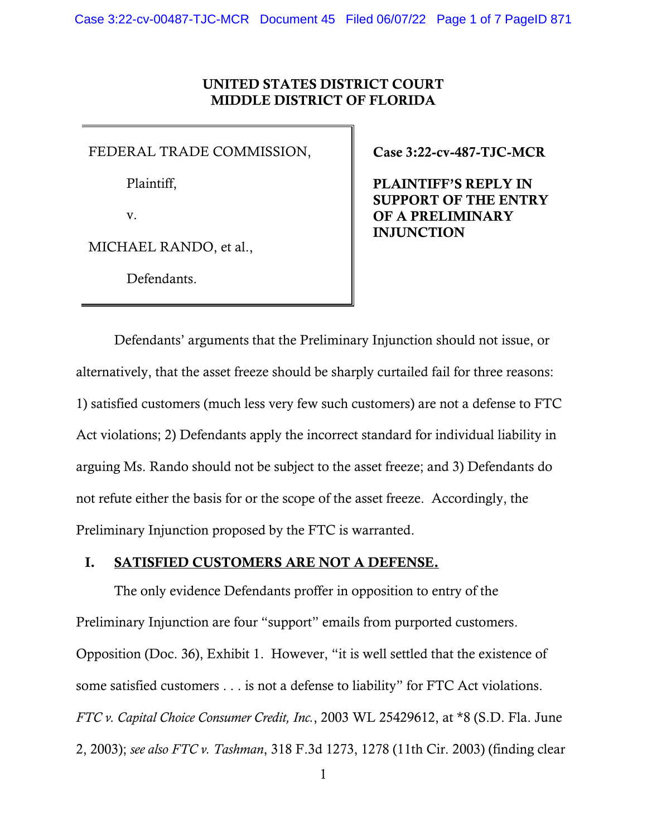### UNITED STATES DISTRICT COURT MIDDLE DISTRICT OF FLORIDA

FEDERAL TRADE COMMISSION,

Plaintiff,

v.

MICHAEL RANDO, et al.,

Defendants.

Case 3:22-cv-487-TJC-MCR

PLAINTIFF'S REPLY IN SUPPORT OF THE ENTRY OF A PRELIMINARY INJUNCTION

Defendants' arguments that the Preliminary Injunction should not issue, or alternatively, that the asset freeze should be sharply curtailed fail for three reasons: 1) satisfied customers (much less very few such customers) are not a defense to FTC Act violations; 2) Defendants apply the incorrect standard for individual liability in arguing Ms. Rando should not be subject to the asset freeze; and 3) Defendants do not refute either the basis for or the scope of the asset freeze. Accordingly, the Preliminary Injunction proposed by the FTC is warranted.

#### I. SATISFIED CUSTOMERS ARE NOT A DEFENSE.

The only evidence Defendants proffer in opposition to entry of the Preliminary Injunction are four "support" emails from purported customers. Opposition (Doc. 36), Exhibit 1. However, "it is well settled that the existence of some satisfied customers . . . is not a defense to liability" for FTC Act violations. *FTC v. Capital Choice Consumer Credit, Inc.*, 2003 WL 25429612, at \*8 (S.D. Fla. June 2, 2003); *see also FTC v. Tashman*, 318 F.3d 1273, 1278 (11th Cir. 2003) (finding clear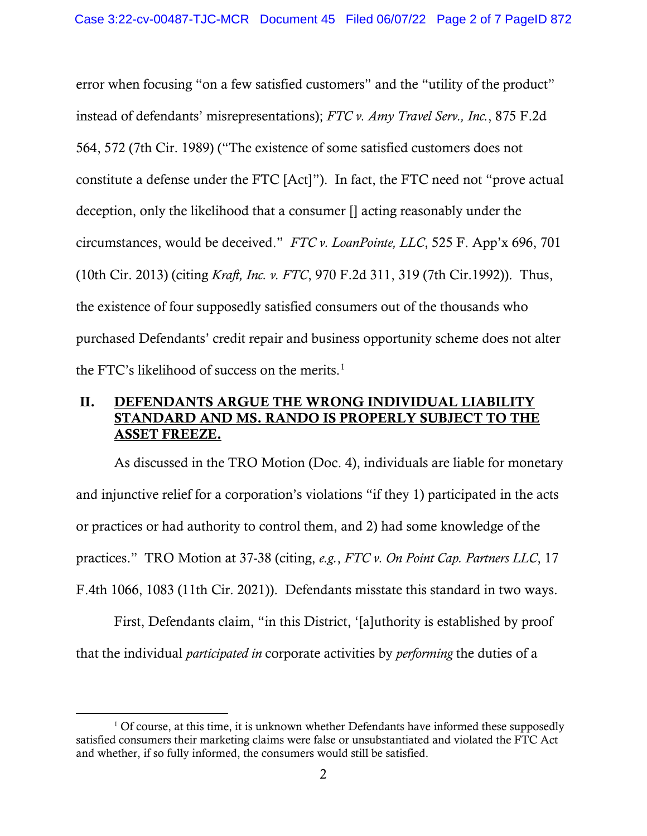error when focusing "on a few satisfied customers" and the "utility of the product" instead of defendants' misrepresentations); *FTC v. Amy Travel Serv., Inc.*, 875 F.2d 564, 572 (7th Cir. 1989) ("The existence of some satisfied customers does not constitute a defense under the FTC [Act]"). In fact, the FTC need not "prove actual deception, only the likelihood that a consumer [] acting reasonably under the circumstances, would be deceived." *FTC v. LoanPointe, LLC*, 525 F. App'x 696, 701 (10th Cir. 2013) (citing *Kraft, Inc. v. FTC*, 970 F.2d 311, 319 (7th Cir.1992)). Thus, the existence of four supposedly satisfied consumers out of the thousands who purchased Defendants' credit repair and business opportunity scheme does not alter the FTC's likelihood of success on the merits.<sup>[1](#page-1-0)</sup>

# II. DEFENDANTS ARGUE THE WRONG INDIVIDUAL LIABILITY STANDARD AND MS. RANDO IS PROPERLY SUBJECT TO THE ASSET FREEZE.

As discussed in the TRO Motion (Doc. 4), individuals are liable for monetary and injunctive relief for a corporation's violations "if they 1) participated in the acts or practices or had authority to control them, and 2) had some knowledge of the practices." TRO Motion at 37-38 (citing, *e.g.*, *FTC v. On Point Cap. Partners LLC*, 17 F.4th 1066, 1083 (11th Cir. 2021)). Defendants misstate this standard in two ways.

First, Defendants claim, "in this District, '[a]uthority is established by proof that the individual *participated in* corporate activities by *performing* the duties of a

<span id="page-1-0"></span> $1$  Of course, at this time, it is unknown whether Defendants have informed these supposedly satisfied consumers their marketing claims were false or unsubstantiated and violated the FTC Act and whether, if so fully informed, the consumers would still be satisfied.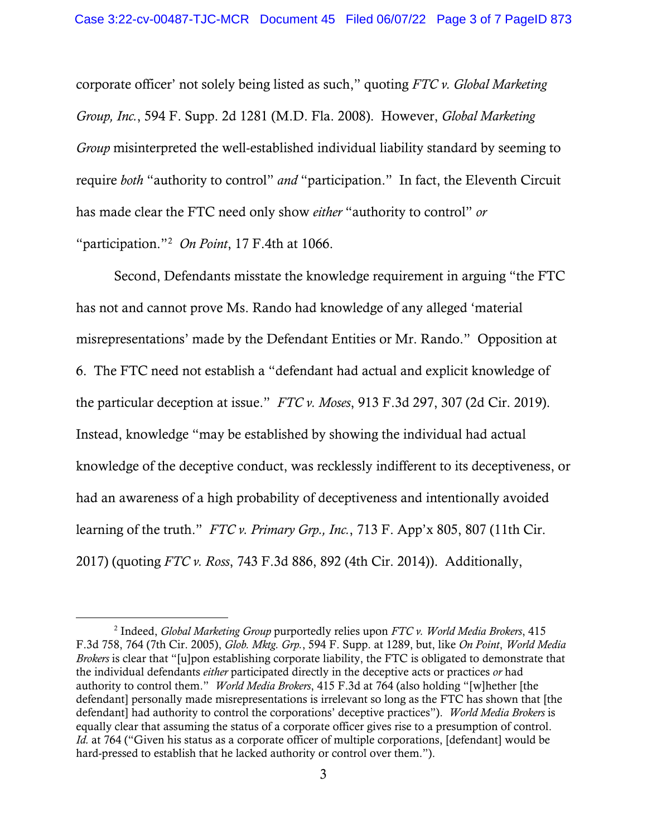corporate officer' not solely being listed as such," quoting *FTC v. Global Marketing Group, Inc.*, 594 F. Supp. 2d 1281 (M.D. Fla. 2008). However, *Global Marketing Group* misinterpreted the well-established individual liability standard by seeming to require *both* "authority to control" *and* "participation." In fact, the Eleventh Circuit has made clear the FTC need only show *either* "authority to control" *or*  "participation."[2](#page-2-0) *On Point*, 17 F.4th at 1066.

Second, Defendants misstate the knowledge requirement in arguing "the FTC has not and cannot prove Ms. Rando had knowledge of any alleged 'material misrepresentations' made by the Defendant Entities or Mr. Rando." Opposition at 6. The FTC need not establish a "defendant had actual and explicit knowledge of the particular deception at issue." *FTC v. Moses*, 913 F.3d 297, 307 (2d Cir. 2019). Instead, knowledge "may be established by showing the individual had actual knowledge of the deceptive conduct, was recklessly indifferent to its deceptiveness, or had an awareness of a high probability of deceptiveness and intentionally avoided learning of the truth." *FTC v. Primary Grp., Inc.*, 713 F. App'x 805, 807 (11th Cir. 2017) (quoting *FTC v. Ross*, 743 F.3d 886, 892 (4th Cir. 2014)). Additionally,

<span id="page-2-0"></span><sup>2</sup> Indeed, *Global Marketing Group* purportedly relies upon *FTC v. World Media Brokers*, 415 F.3d 758, 764 (7th Cir. 2005), *Glob. Mktg. Grp.*, 594 F. Supp. at 1289, but, like *On Point*, *World Media Brokers* is clear that "[u]pon establishing corporate liability, the FTC is obligated to demonstrate that the individual defendants *either* participated directly in the deceptive acts or practices *or* had authority to control them." *World Media Brokers*, 415 F.3d at 764 (also holding "[w]hether [the defendant] personally made misrepresentations is irrelevant so long as the FTC has shown that [the defendant] had authority to control the corporations' deceptive practices"). *World Media Brokers* is equally clear that assuming the status of a corporate officer gives rise to a presumption of control. *Id.* at 764 ("Given his status as a corporate officer of multiple corporations, [defendant] would be hard-pressed to establish that he lacked authority or control over them.").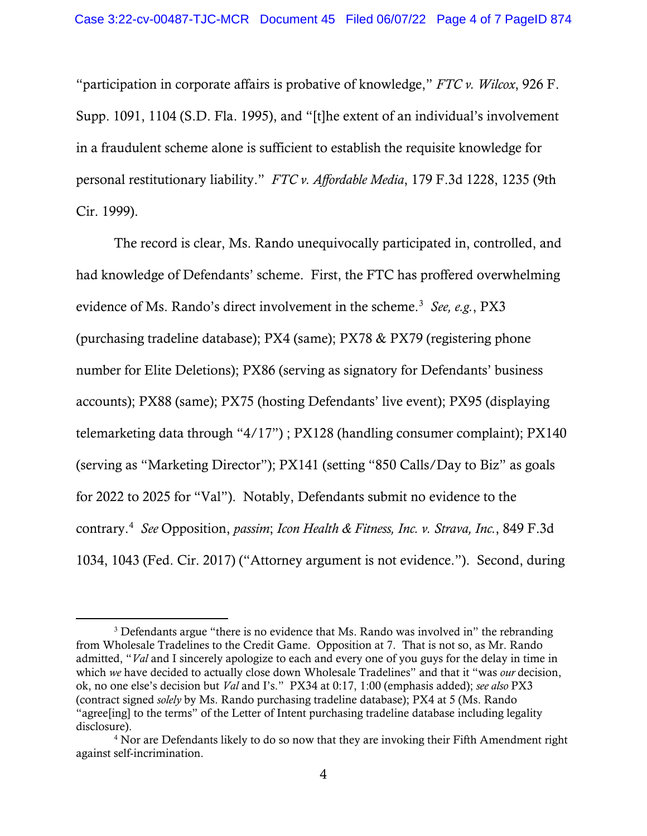"participation in corporate affairs is probative of knowledge," *FTC v. Wilcox*, 926 F. Supp. 1091, 1104 (S.D. Fla. 1995), and "[t]he extent of an individual's involvement in a fraudulent scheme alone is sufficient to establish the requisite knowledge for personal restitutionary liability." *FTC v. Affordable Media*, 179 F.3d 1228, 1235 (9th Cir. 1999).

The record is clear, Ms. Rando unequivocally participated in, controlled, and had knowledge of Defendants' scheme. First, the FTC has proffered overwhelming evidence of Ms. Rando's direct involvement in the scheme. [3](#page-3-0) *See, e.g.*, PX3 (purchasing tradeline database); PX4 (same); PX78 & PX79 (registering phone number for Elite Deletions); PX86 (serving as signatory for Defendants' business accounts); PX88 (same); PX75 (hosting Defendants' live event); PX95 (displaying telemarketing data through "4/17") ; PX128 (handling consumer complaint); PX140 (serving as "Marketing Director"); PX141 (setting "850 Calls/Day to Biz" as goals for 2022 to 2025 for "Val"). Notably, Defendants submit no evidence to the contrary. [4](#page-3-1) *See* Opposition, *passim*; *Icon Health & Fitness, Inc. v. Strava, Inc.*, 849 F.3d 1034, 1043 (Fed. Cir. 2017) ("Attorney argument is not evidence."). Second, during

<span id="page-3-0"></span><sup>&</sup>lt;sup>3</sup> Defendants argue "there is no evidence that Ms. Rando was involved in" the rebranding from Wholesale Tradelines to the Credit Game. Opposition at 7. That is not so, as Mr. Rando admitted, "*Val* and I sincerely apologize to each and every one of you guys for the delay in time in which *we* have decided to actually close down Wholesale Tradelines" and that it "was *our* decision, ok, no one else's decision but *Val* and I's." PX34 at 0:17, 1:00 (emphasis added); *see also* PX3 (contract signed *solely* by Ms. Rando purchasing tradeline database); PX4 at 5 (Ms. Rando "agree[ing] to the terms" of the Letter of Intent purchasing tradeline database including legality disclosure).

<span id="page-3-1"></span><sup>4</sup> Nor are Defendants likely to do so now that they are invoking their Fifth Amendment right against self-incrimination.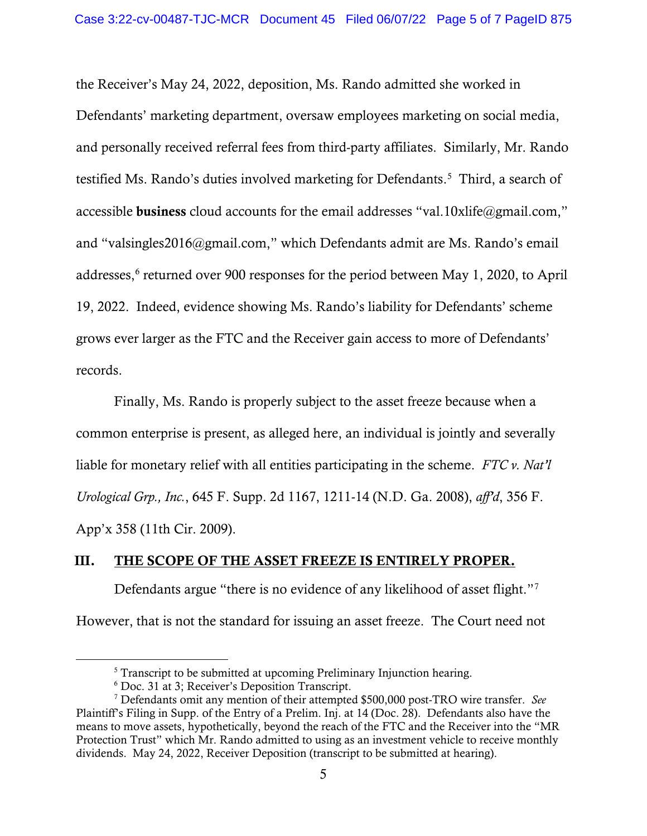the Receiver's May 24, 2022, deposition, Ms. Rando admitted she worked in Defendants' marketing department, oversaw employees marketing on social media, and personally received referral fees from third-party affiliates. Similarly, Mr. Rando testified Ms. Rando's duties involved marketing for Defendants. [5](#page-4-0) Third, a search of accessible **business** cloud accounts for the email addresses "val.10xlife@gmail.com," and "valsingles2016@gmail.com," which Defendants admit are Ms. Rando's email addresses, [6](#page-4-1) returned over 900 responses for the period between May 1, 2020, to April 19, 2022. Indeed, evidence showing Ms. Rando's liability for Defendants' scheme grows ever larger as the FTC and the Receiver gain access to more of Defendants' records.

Finally, Ms. Rando is properly subject to the asset freeze because when a common enterprise is present, as alleged here, an individual is jointly and severally liable for monetary relief with all entities participating in the scheme. *FTC v. Nat'l Urological Grp., Inc.*, 645 F. Supp. 2d 1167, 1211-14 (N.D. Ga. 2008), *aff'd*, 356 F. App'x 358 (11th Cir. 2009).

## III. THE SCOPE OF THE ASSET FREEZE IS ENTIRELY PROPER.

Defendants argue "there is no evidence of any likelihood of asset flight."<sup>[7](#page-4-2)</sup> However, that is not the standard for issuing an asset freeze. The Court need not

<sup>&</sup>lt;sup>5</sup> Transcript to be submitted at upcoming Preliminary Injunction hearing.

<span id="page-4-2"></span><span id="page-4-1"></span><span id="page-4-0"></span><sup>6</sup> Doc. 31 at 3; Receiver's Deposition Transcript. 7 Defendants omit any mention of their attempted \$500,000 post-TRO wire transfer. *See*  Plaintiff's Filing in Supp. of the Entry of a Prelim. Inj. at 14 (Doc. 28). Defendants also have the means to move assets, hypothetically, beyond the reach of the FTC and the Receiver into the "MR Protection Trust" which Mr. Rando admitted to using as an investment vehicle to receive monthly dividends. May 24, 2022, Receiver Deposition (transcript to be submitted at hearing).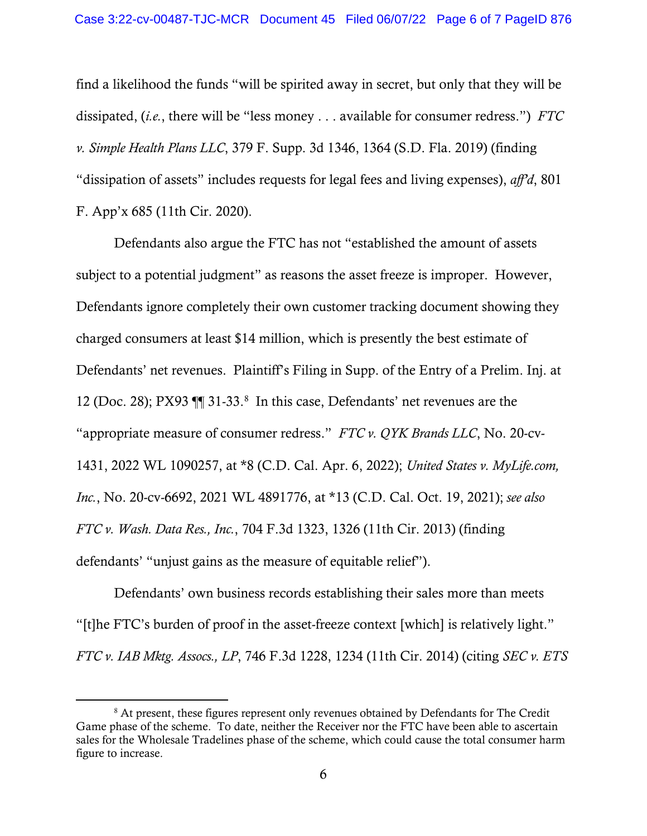find a likelihood the funds "will be spirited away in secret, but only that they will be dissipated, (*i.e.*, there will be "less money . . . available for consumer redress.") *FTC v. Simple Health Plans LLC*, 379 F. Supp. 3d 1346, 1364 (S.D. Fla. 2019) (finding "dissipation of assets" includes requests for legal fees and living expenses), *aff'd*, 801 F. App'x 685 (11th Cir. 2020).

Defendants also argue the FTC has not "established the amount of assets subject to a potential judgment" as reasons the asset freeze is improper. However, Defendants ignore completely their own customer tracking document showing they charged consumers at least \$14 million, which is presently the best estimate of Defendants' net revenues. Plaintiff's Filing in Supp. of the Entry of a Prelim. Inj. at 12 (Doc. 28); PX93 ¶¶ 31-33. [8](#page-5-0) In this case, Defendants' net revenues are the "appropriate measure of consumer redress." *FTC v. QYK Brands LLC*, No. 20-cv-1431, 2022 WL 1090257, at \*8 (C.D. Cal. Apr. 6, 2022); *United States v. MyLife.com, Inc.*, No. 20-cv-6692, 2021 WL 4891776, at \*13 (C.D. Cal. Oct. 19, 2021); *see also FTC v. Wash. Data Res., Inc.*, 704 F.3d 1323, 1326 (11th Cir. 2013) (finding defendants' "unjust gains as the measure of equitable relief").

Defendants' own business records establishing their sales more than meets "[t]he FTC's burden of proof in the asset-freeze context [which] is relatively light." *FTC v. IAB Mktg. Assocs., LP*, 746 F.3d 1228, 1234 (11th Cir. 2014) (citing *SEC v. ETS* 

<span id="page-5-0"></span><sup>&</sup>lt;sup>8</sup> At present, these figures represent only revenues obtained by Defendants for The Credit Game phase of the scheme. To date, neither the Receiver nor the FTC have been able to ascertain sales for the Wholesale Tradelines phase of the scheme, which could cause the total consumer harm figure to increase.